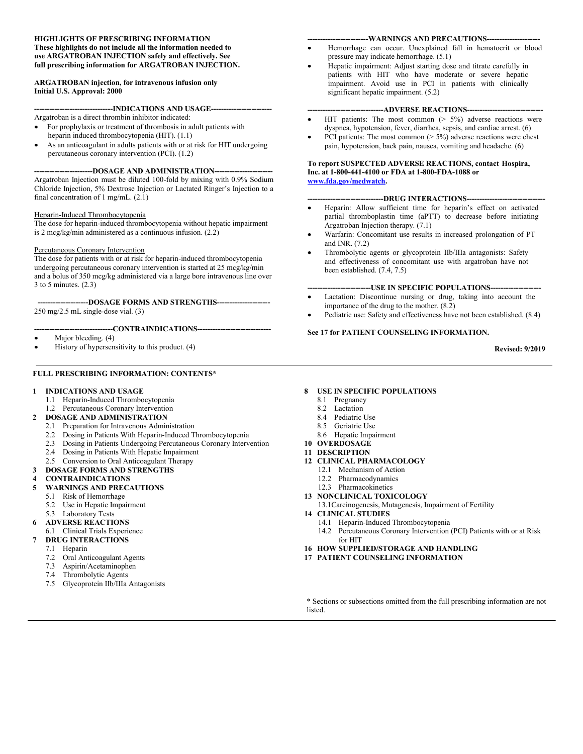#### **HIGHLIGHTS OF PRESCRIBING INFORMATION These highlights do not include all the information needed to use ARGATROBAN INJECTION safely and effectively. See full prescribing information for ARGATROBAN INJECTION.**

#### **ARGATROBAN injection, for intravenous infusion only Initial U.S. Approval: 2000**

---INDICATIONS AND USAGE--

- Argatroban is a direct thrombin inhibitor indicated: For prophylaxis or treatment of thrombosis in adult patients with heparin induced thrombocytopenia (HIT). (1.1)
- As an anticoagulant in adults patients with or at risk for HIT undergoing percutaneous coronary intervention (PCI). (1.2)

---DOSAGE AND ADMINISTRATION--Argatroban Injection must be diluted 100-fold by mixing with 0.9% Sodium Chloride Injection, 5% Dextrose Injection or Lactated Ringer's Injection to a final concentration of 1 mg/mL. (2.1)

#### Heparin-Induced Thrombocytopenia

The dose for heparin-induced thrombocytopenia without hepatic impairment is 2 mcg/kg/min administered as a continuous infusion. (2.2)

#### Percutaneous Coronary Intervention

The dose for patients with or at risk for heparin-induced thrombocytopenia undergoing percutaneous coronary intervention is started at 25 mcg/kg/min and a bolus of 350 mcg/kg administered via a large bore intravenous line over 3 to 5 minutes. (2.3)

**--------------------DOSAGE FORMS AND STRENGTHS---------------------** 250 mg/2.5 mL single-dose vial. (3)

#### **-------------------------------CONTRAINDICATIONS-----------------------------**

- Major bleeding. (4)
- History of hypersensitivity to this product. (4)

#### **FULL PRESCRIBING INFORMATION: CONTENTS\***

#### **1 INDICATIONS AND USAGE**

- 1.1 Heparin-Induced Thrombocytopenia
- 1.2 Percutaneous Coronary Intervention
- **2 DOSAGE AND ADMINISTRATION**
	- 2.1 Preparation for Intravenous Administration
	- 2.2 Dosing in Patients With Heparin-Induced Thrombocytopenia
	- 2.3 Dosing in Patients Undergoing Percutaneous Coronary Intervention
	- 2.4 Dosing in Patients With Hepatic Impairment
	- 2.5 Conversion to Oral Anticoagulant Therapy
- **3 DOSAGE FORMS AND STRENGTHS**
- **4 CONTRAINDICATIONS**
- **5 WARNINGS AND PRECAUTIONS**
	- 5.1 Risk of Hemorrhage
	- 5.2 Use in Hepatic Impairment
	- 5.3 Laboratory Tests
- **6 ADVERSE REACTIONS**
	- 6.1 Clinical Trials Experience
- **7 DRUG INTERACTIONS**
	- 7.1 Heparin
	- 7.2 Oral Anticoagulant Agents
	- 7.3 Aspirin/Acetaminophen
	- 7.4 Thrombolytic Agents
	- 7.5 Glycoprotein IIb/IIIa Antagonists

#### **------------------------WARNINGS AND PRECAUTIONS---------------------**

- Hemorrhage can occur. Unexplained fall in hematocrit or blood pressure may indicate hemorrhage. (5.1)
- Hepatic impairment: Adjust starting dose and titrate carefully in patients with HIT who have moderate or severe hepatic impairment. Avoid use in PCI in patients with clinically significant hepatic impairment. (5.2)

#### **----ADVERSE REACTIONS---**

- HIT patients: The most common  $(> 5\%)$  adverse reactions were dyspnea, hypotension, fever, diarrhea, sepsis, and cardiac arrest. (6)
- PCI patients: The most common ( $> 5\%$ ) adverse reactions were chest pain, hypotension, back pain, nausea, vomiting and headache. (6)

#### **To report SUSPECTED ADVERSE REACTIONS, contact Hospira, Inc. at 1-800-441-4100 or FDA at 1-800-FDA-1088 or [www.fda.gov/medwatch.](http://www.fda.gov/medwatch)**

#### -DRUG INTERACTIONS--

- Heparin: Allow sufficient time for heparin's effect on activated partial thromboplastin time (aPTT) to decrease before initiating Argatroban Injection therapy. (7.1)
- Warfarin: Concomitant use results in increased prolongation of PT and INR. (7.2)
- Thrombolytic agents or glycoprotein IIb/IIIa antagonists: Safety and effectiveness of concomitant use with argatroban have not been established. (7.4, 7.5)

#### **-------------------------USE IN SPECIFIC POPULATIONS--------------------**

- Lactation: Discontinue nursing or drug, taking into account the importance of the drug to the mother. (8.2)
- Pediatric use: Safety and effectiveness have not been established. (8.4)

#### **See 17 for PATIENT COUNSELING INFORMATION.**

**Revised: 9/2019**

#### **8 USE IN SPECIFIC POPULATIONS**

- 8.1 Pregnancy
- 8.2 Lactation
- 8.4 Pediatric Use
- 8.5 Geriatric Use
- 8.6 Hepatic Impairment
- **10 OVERDOSAGE**
- **11 DESCRIPTION**
- **12 CLINICAL PHARMACOLOGY**
	- 12.1 Mechanism of Action
	- 12.2 Pharmacodynamics
	- 12.3 Pharmacokinetics
- **13 NONCLINICAL TOXICOLOGY**
	- 13.1Carcinogenesis, Mutagenesis, Impairment of Fertility
- **14 CLINICAL STUDIES**
	- 14.1 Heparin-Induced Thrombocytopenia
	- 14.2 Percutaneous Coronary Intervention (PCI) Patients with or at Risk for HIT
- **16 HOW SUPPLIED/STORAGE AND HANDLING**
- **17 PATIENT COUNSELING INFORMATION**

\* Sections or subsections omitted from the full prescribing information are not listed.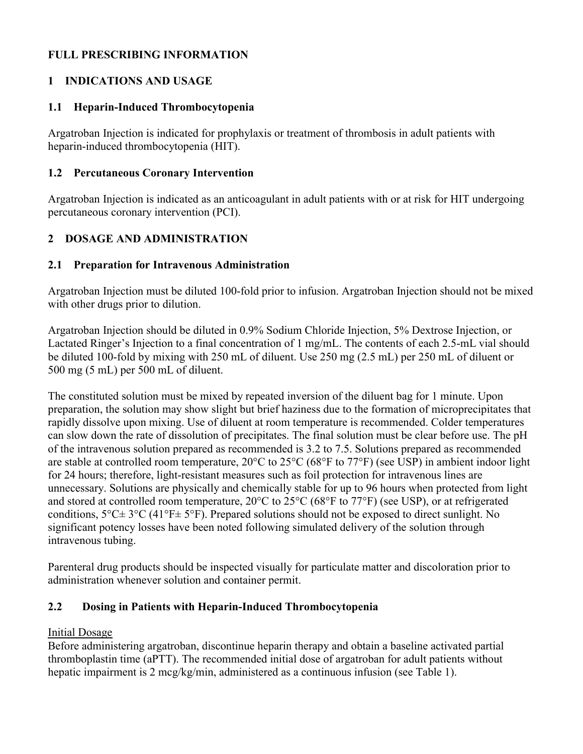# **FULL PRESCRIBING INFORMATION**

# **1 INDICATIONS AND USAGE**

#### **1.1 Heparin-Induced Thrombocytopenia**

Argatroban Injection is indicated for prophylaxis or treatment of thrombosis in adult patients with heparin-induced thrombocytopenia (HIT).

#### **1.2 Percutaneous Coronary Intervention**

Argatroban Injection is indicated as an anticoagulant in adult patients with or at risk for HIT undergoing percutaneous coronary intervention (PCI).

# **2 DOSAGE AND ADMINISTRATION**

#### **2.1 Preparation for Intravenous Administration**

Argatroban Injection must be diluted 100-fold prior to infusion. Argatroban Injection should not be mixed with other drugs prior to dilution.

Argatroban Injection should be diluted in 0.9% Sodium Chloride Injection, 5% Dextrose Injection, or Lactated Ringer's Injection to a final concentration of 1 mg/mL. The contents of each 2.5-mL vial should be diluted 100-fold by mixing with 250 mL of diluent. Use 250 mg (2.5 mL) per 250 mL of diluent or 500 mg (5 mL) per 500 mL of diluent.

The constituted solution must be mixed by repeated inversion of the diluent bag for 1 minute. Upon preparation, the solution may show slight but brief haziness due to the formation of microprecipitates that rapidly dissolve upon mixing. Use of diluent at room temperature is recommended. Colder temperatures can slow down the rate of dissolution of precipitates. The final solution must be clear before use. The pH of the intravenous solution prepared as recommended is 3.2 to 7.5. Solutions prepared as recommended are stable at controlled room temperature, 20°C to 25°C (68°F to 77°F) (see USP) in ambient indoor light for 24 hours; therefore, light-resistant measures such as foil protection for intravenous lines are unnecessary. Solutions are physically and chemically stable for up to 96 hours when protected from light and stored at controlled room temperature, 20°C to 25°C (68°F to 77°F) (see USP), or at refrigerated conditions,  $5^{\circ}$ C $\pm$  3°C (41°F $\pm$  5°F). Prepared solutions should not be exposed to direct sunlight. No significant potency losses have been noted following simulated delivery of the solution through intravenous tubing.

Parenteral drug products should be inspected visually for particulate matter and discoloration prior to administration whenever solution and container permit.

## **2.2 Dosing in Patients with Heparin-Induced Thrombocytopenia**

## Initial Dosage

Before administering argatroban, discontinue heparin therapy and obtain a baseline activated partial thromboplastin time (aPTT). The recommended initial dose of argatroban for adult patients without hepatic impairment is 2 mcg/kg/min, administered as a continuous infusion (see Table 1).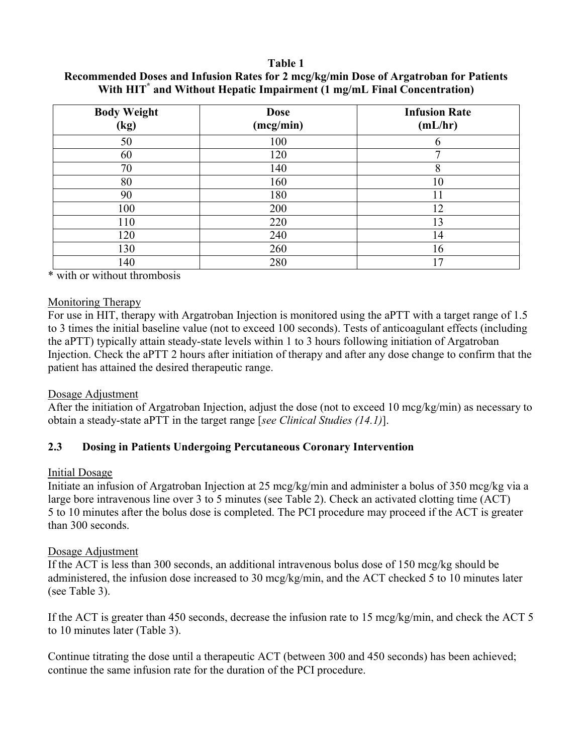#### **Table 1**

| <b>Body Weight</b><br>(kg) | <b>Dose</b><br>(mcg/min) | <b>Infusion Rate</b><br>(mL/hr) |
|----------------------------|--------------------------|---------------------------------|
| 50                         | 100                      |                                 |
| 60                         | 120                      |                                 |
| 70                         | 140                      | 8                               |
| 80                         | 160                      | 10                              |
| 90                         | 180                      | 11                              |
| 100                        | 200                      | 12                              |
| 110                        | 220                      | 13                              |
| 120                        | 240                      | 14                              |
| 130                        | 260                      | 16                              |
| 140                        | 280                      | 7                               |

**Recommended Doses and Infusion Rates for 2 mcg/kg/min Dose of Argatroban for Patients With HIT\* and Without Hepatic Impairment (1 mg/mL Final Concentration)**

\* with or without thrombosis

#### Monitoring Therapy

For use in HIT, therapy with Argatroban Injection is monitored using the aPTT with a target range of 1.5 to 3 times the initial baseline value (not to exceed 100 seconds). Tests of anticoagulant effects (including the aPTT) typically attain steady-state levels within 1 to 3 hours following initiation of Argatroban Injection. Check the aPTT 2 hours after initiation of therapy and after any dose change to confirm that the patient has attained the desired therapeutic range.

## Dosage Adjustment

After the initiation of Argatroban Injection, adjust the dose (not to exceed 10 mcg/kg/min) as necessary to obtain a steady-state aPTT in the target range [*see Clinical Studies (14.1)*].

## **2.3 Dosing in Patients Undergoing Percutaneous Coronary Intervention**

#### Initial Dosage

Initiate an infusion of Argatroban Injection at 25 mcg/kg/min and administer a bolus of 350 mcg/kg via a large bore intravenous line over 3 to 5 minutes (see Table 2). Check an activated clotting time (ACT) 5 to 10 minutes after the bolus dose is completed. The PCI procedure may proceed if the ACT is greater than 300 seconds.

## Dosage Adjustment

If the ACT is less than 300 seconds, an additional intravenous bolus dose of 150 mcg/kg should be administered, the infusion dose increased to 30 mcg/kg/min, and the ACT checked 5 to 10 minutes later (see Table 3).

If the ACT is greater than 450 seconds, decrease the infusion rate to 15 mcg/kg/min, and check the ACT 5 to 10 minutes later (Table 3).

Continue titrating the dose until a therapeutic ACT (between 300 and 450 seconds) has been achieved; continue the same infusion rate for the duration of the PCI procedure.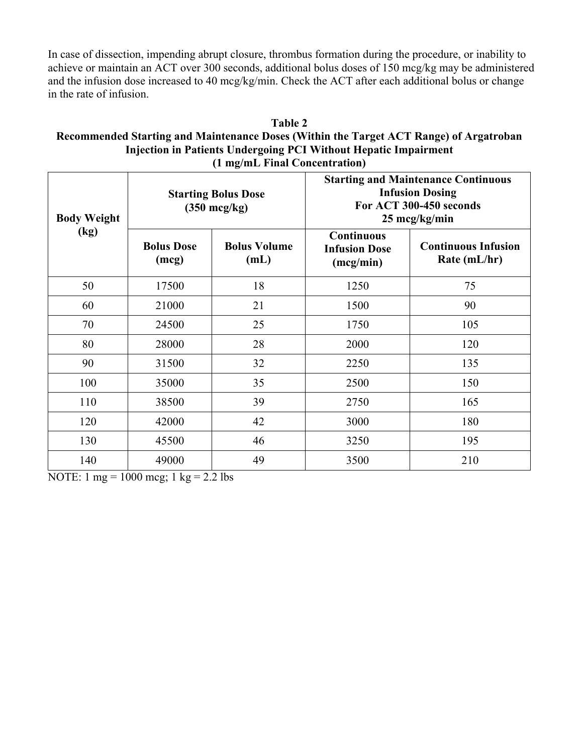In case of dissection, impending abrupt closure, thrombus formation during the procedure, or inability to achieve or maintain an ACT over 300 seconds, additional bolus doses of 150 mcg/kg may be administered and the infusion dose increased to 40 mcg/kg/min. Check the ACT after each additional bolus or change in the rate of infusion.

#### **Table 2 Recommended Starting and Maintenance Doses (Within the Target ACT Range) of Argatroban Injection in Patients Undergoing PCI Without Hepatic Impairment (1 mg/mL Final Concentration)**

| <b>Body Weight</b> | <b>Starting Bolus Dose</b><br>$(350 \text{ mcg/kg})$ |                             | <b>Starting and Maintenance Continuous</b><br><b>Infusion Dosing</b><br>For ACT 300-450 seconds<br>25 mcg/kg/min |                                            |
|--------------------|------------------------------------------------------|-----------------------------|------------------------------------------------------------------------------------------------------------------|--------------------------------------------|
| (kg)               | <b>Bolus Dose</b><br>(mcg)                           | <b>Bolus Volume</b><br>(mL) | <b>Continuous</b><br><b>Infusion Dose</b><br>(mcg/min)                                                           | <b>Continuous Infusion</b><br>Rate (mL/hr) |
| 50                 | 17500                                                | 18                          | 1250                                                                                                             | 75                                         |
| 60                 | 21000                                                | 21                          | 1500                                                                                                             | 90                                         |
| 70                 | 24500                                                | 25                          | 1750                                                                                                             | 105                                        |
| 80                 | 28000                                                | 28                          | 2000                                                                                                             | 120                                        |
| 90                 | 31500                                                | 32                          | 2250                                                                                                             | 135                                        |
| 100                | 35000                                                | 35                          | 2500                                                                                                             | 150                                        |
| 110                | 38500                                                | 39                          | 2750                                                                                                             | 165                                        |
| 120                | 42000                                                | 42                          | 3000                                                                                                             | 180                                        |
| 130                | 45500                                                | 46                          | 3250                                                                                                             | 195                                        |
| 140                | 49000                                                | 49                          | 3500                                                                                                             | 210                                        |

NOTE:  $1 \text{ mg} = 1000 \text{ mg}$ ;  $1 \text{ kg} = 2.2 \text{ lbs}$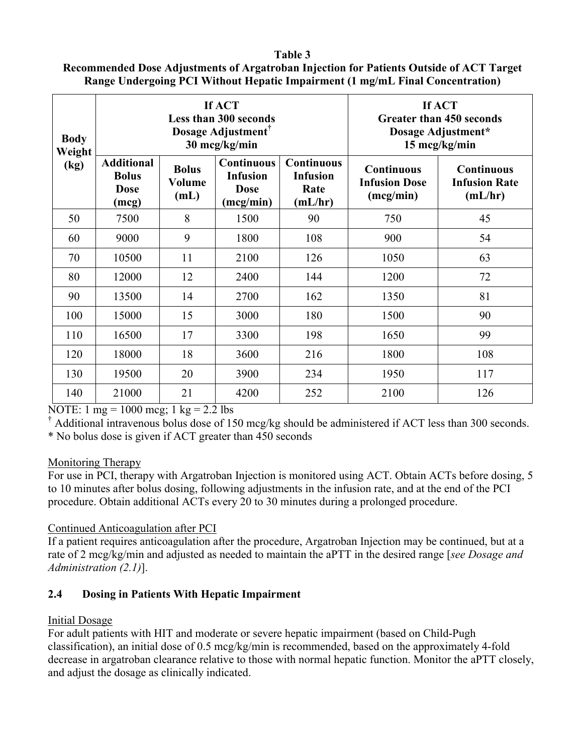# **Recommended Dose Adjustments of Argatroban Injection for Patients Outside of ACT Target Range Undergoing PCI Without Hepatic Impairment (1 mg/mL Final Concentration)**

| <b>Body</b><br>Weight |                                                           |                                | If ACT<br><b>Less than 300 seconds</b><br>Dosage Adjustment <sup>®</sup><br>30 mcg/kg/min | If ACT<br><b>Greater than 450 seconds</b><br>Dosage Adjustment*<br>15 mcg/kg/min |                                                        |                                                      |
|-----------------------|-----------------------------------------------------------|--------------------------------|-------------------------------------------------------------------------------------------|----------------------------------------------------------------------------------|--------------------------------------------------------|------------------------------------------------------|
| (kg)                  | <b>Additional</b><br><b>Bolus</b><br><b>Dose</b><br>(mcg) | <b>Bolus</b><br>Volume<br>(mL) | <b>Continuous</b><br><b>Infusion</b><br><b>Dose</b><br>(mcg/min)                          | <b>Continuous</b><br><b>Infusion</b><br>Rate<br>(mL/hr)                          | <b>Continuous</b><br><b>Infusion Dose</b><br>(mcg/min) | <b>Continuous</b><br><b>Infusion Rate</b><br>(mL/hr) |
| 50                    | 7500                                                      | 8                              | 1500                                                                                      | 90                                                                               | 750                                                    | 45                                                   |
| 60                    | 9000                                                      | 9                              | 1800                                                                                      | 108                                                                              | 900                                                    | 54                                                   |
| 70                    | 10500                                                     | 11                             | 2100                                                                                      | 126                                                                              | 1050                                                   | 63                                                   |
| 80                    | 12000                                                     | 12                             | 2400                                                                                      | 144                                                                              | 1200                                                   | 72                                                   |
| 90                    | 13500                                                     | 14                             | 2700                                                                                      | 162                                                                              | 1350                                                   | 81                                                   |
| 100                   | 15000                                                     | 15                             | 3000                                                                                      | 180                                                                              | 1500                                                   | 90                                                   |
| 110                   | 16500                                                     | 17                             | 3300                                                                                      | 198                                                                              | 1650                                                   | 99                                                   |
| 120                   | 18000                                                     | 18                             | 3600                                                                                      | 216                                                                              | 1800                                                   | 108                                                  |
| 130                   | 19500                                                     | 20                             | 3900                                                                                      | 234                                                                              | 1950                                                   | 117                                                  |
| 140                   | 21000                                                     | 21                             | 4200                                                                                      | 252                                                                              | 2100                                                   | 126                                                  |

NOTE:  $1 \text{ mg} = 1000 \text{ mcg}$ ;  $1 \text{ kg} = 2.2 \text{ lbs}$ 

† Additional intravenous bolus dose of 150 mcg/kg should be administered if ACT less than 300 seconds.

\* No bolus dose is given if ACT greater than 450 seconds

## Monitoring Therapy

For use in PCI, therapy with Argatroban Injection is monitored using ACT. Obtain ACTs before dosing, 5 to 10 minutes after bolus dosing, following adjustments in the infusion rate, and at the end of the PCI procedure. Obtain additional ACTs every 20 to 30 minutes during a prolonged procedure.

# Continued Anticoagulation after PCI

If a patient requires anticoagulation after the procedure, Argatroban Injection may be continued, but at a rate of 2 mcg/kg/min and adjusted as needed to maintain the aPTT in the desired range [*see Dosage and Administration (2.1)*].

# **2.4 Dosing in Patients With Hepatic Impairment**

# Initial Dosage

For adult patients with HIT and moderate or severe hepatic impairment (based on Child-Pugh classification), an initial dose of 0.5 mcg/kg/min is recommended, based on the approximately 4-fold decrease in argatroban clearance relative to those with normal hepatic function. Monitor the aPTT closely, and adjust the dosage as clinically indicated.

#### **Table 3**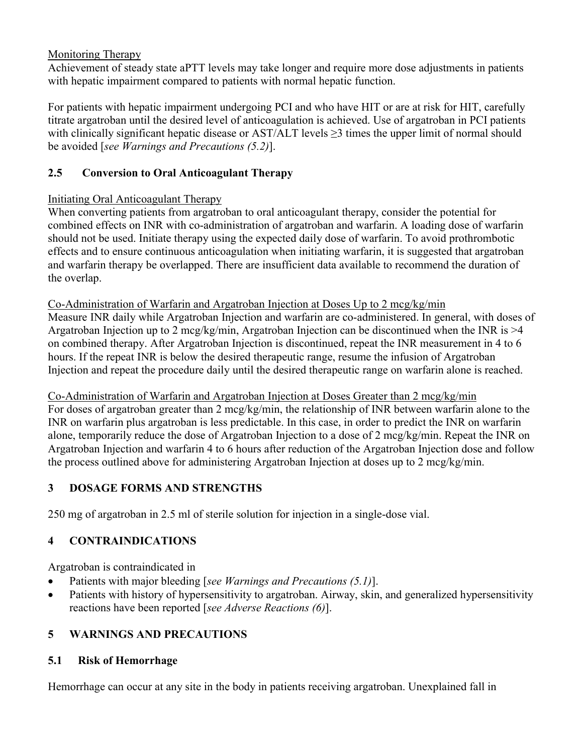Monitoring Therapy

Achievement of steady state aPTT levels may take longer and require more dose adjustments in patients with hepatic impairment compared to patients with normal hepatic function.

For patients with hepatic impairment undergoing PCI and who have HIT or are at risk for HIT, carefully titrate argatroban until the desired level of anticoagulation is achieved. Use of argatroban in PCI patients with clinically significant hepatic disease or AST/ALT levels ≥3 times the upper limit of normal should be avoided [*see Warnings and Precautions (5.2)*].

# **2.5 Conversion to Oral Anticoagulant Therapy**

# Initiating Oral Anticoagulant Therapy

When converting patients from argatroban to oral anticoagulant therapy, consider the potential for combined effects on INR with co-administration of argatroban and warfarin. A loading dose of warfarin should not be used. Initiate therapy using the expected daily dose of warfarin. To avoid prothrombotic effects and to ensure continuous anticoagulation when initiating warfarin, it is suggested that argatroban and warfarin therapy be overlapped. There are insufficient data available to recommend the duration of the overlap.

Co-Administration of Warfarin and Argatroban Injection at Doses Up to 2 mcg/kg/min

Measure INR daily while Argatroban Injection and warfarin are co-administered. In general, with doses of Argatroban Injection up to 2 mcg/kg/min, Argatroban Injection can be discontinued when the INR is >4 on combined therapy. After Argatroban Injection is discontinued, repeat the INR measurement in 4 to 6 hours. If the repeat INR is below the desired therapeutic range, resume the infusion of Argatroban Injection and repeat the procedure daily until the desired therapeutic range on warfarin alone is reached.

# Co-Administration of Warfarin and Argatroban Injection at Doses Greater than 2 mcg/kg/min

For doses of argatroban greater than 2 mcg/kg/min, the relationship of INR between warfarin alone to the INR on warfarin plus argatroban is less predictable. In this case, in order to predict the INR on warfarin alone, temporarily reduce the dose of Argatroban Injection to a dose of 2 mcg/kg/min. Repeat the INR on Argatroban Injection and warfarin 4 to 6 hours after reduction of the Argatroban Injection dose and follow the process outlined above for administering Argatroban Injection at doses up to 2 mcg/kg/min.

# **3 DOSAGE FORMS AND STRENGTHS**

250 mg of argatroban in 2.5 ml of sterile solution for injection in a single-dose vial.

# **4 CONTRAINDICATIONS**

Argatroban is contraindicated in

- Patients with major bleeding [*see Warnings and Precautions (5.1)*].
- Patients with history of hypersensitivity to argatroban. Airway, skin, and generalized hypersensitivity reactions have been reported [*see Adverse Reactions (6)*].

# **5 WARNINGS AND PRECAUTIONS**

# **5.1 Risk of Hemorrhage**

Hemorrhage can occur at any site in the body in patients receiving argatroban. Unexplained fall in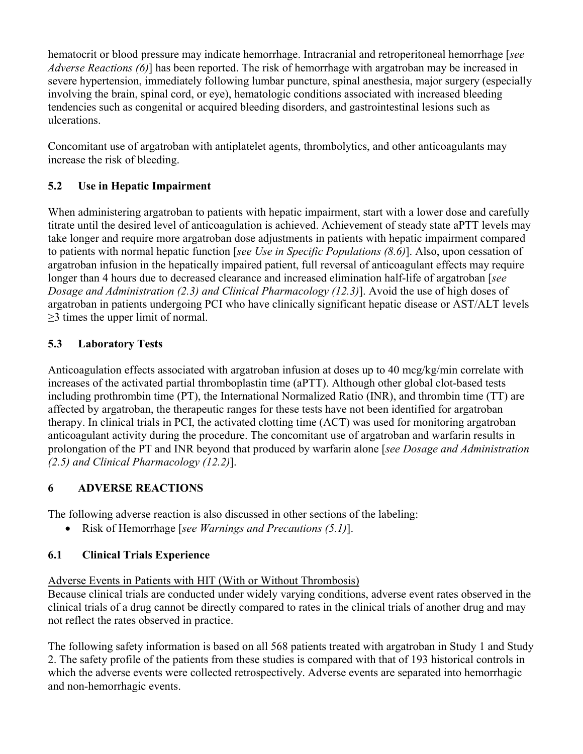hematocrit or blood pressure may indicate hemorrhage. Intracranial and retroperitoneal hemorrhage [*see Adverse Reactions (6)*] has been reported. The risk of hemorrhage with argatroban may be increased in severe hypertension, immediately following lumbar puncture, spinal anesthesia, major surgery (especially involving the brain, spinal cord, or eye), hematologic conditions associated with increased bleeding tendencies such as congenital or acquired bleeding disorders, and gastrointestinal lesions such as ulcerations.

Concomitant use of argatroban with antiplatelet agents, thrombolytics, and other anticoagulants may increase the risk of bleeding.

# **5.2 Use in Hepatic Impairment**

When administering argatroban to patients with hepatic impairment, start with a lower dose and carefully titrate until the desired level of anticoagulation is achieved. Achievement of steady state aPTT levels may take longer and require more argatroban dose adjustments in patients with hepatic impairment compared to patients with normal hepatic function [*see Use in Specific Populations (8.6)*]. Also, upon cessation of argatroban infusion in the hepatically impaired patient, full reversal of anticoagulant effects may require longer than 4 hours due to decreased clearance and increased elimination half-life of argatroban [*see Dosage and Administration (2.3) and Clinical Pharmacology (12.3)*]. Avoid the use of high doses of argatroban in patients undergoing PCI who have clinically significant hepatic disease or AST/ALT levels  $\geq$ 3 times the upper limit of normal.

# **5.3 Laboratory Tests**

Anticoagulation effects associated with argatroban infusion at doses up to 40 mcg/kg/min correlate with increases of the activated partial thromboplastin time (aPTT). Although other global clot-based tests including prothrombin time (PT), the International Normalized Ratio (INR), and thrombin time (TT) are affected by argatroban, the therapeutic ranges for these tests have not been identified for argatroban therapy. In clinical trials in PCI, the activated clotting time (ACT) was used for monitoring argatroban anticoagulant activity during the procedure. The concomitant use of argatroban and warfarin results in prolongation of the PT and INR beyond that produced by warfarin alone [*see Dosage and Administration (2.5) and Clinical Pharmacology (12.2)*].

# **6 ADVERSE REACTIONS**

The following adverse reaction is also discussed in other sections of the labeling:

Risk of Hemorrhage [*see Warnings and Precautions (5.1)*].

# **6.1 Clinical Trials Experience**

Adverse Events in Patients with HIT (With or Without Thrombosis)

Because clinical trials are conducted under widely varying conditions, adverse event rates observed in the clinical trials of a drug cannot be directly compared to rates in the clinical trials of another drug and may not reflect the rates observed in practice.

The following safety information is based on all 568 patients treated with argatroban in Study 1 and Study 2. The safety profile of the patients from these studies is compared with that of 193 historical controls in which the adverse events were collected retrospectively. Adverse events are separated into hemorrhagic and non-hemorrhagic events.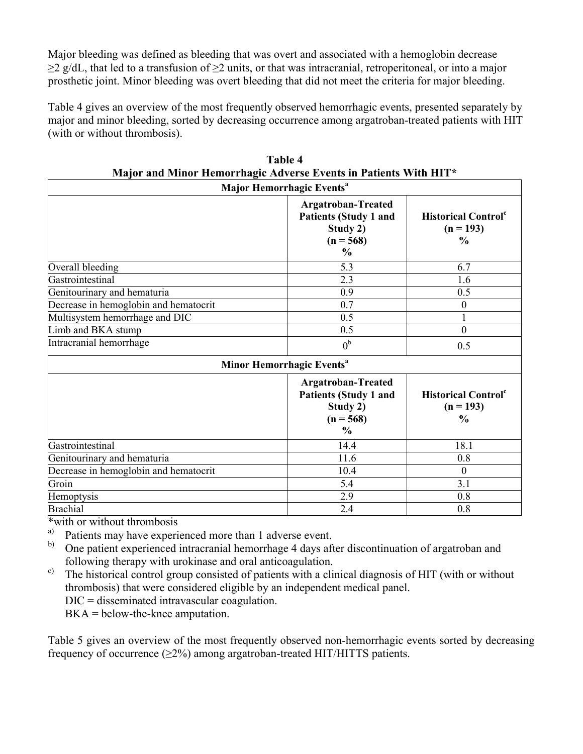Major bleeding was defined as bleeding that was overt and associated with a hemoglobin decrease  $\geq$ 2 g/dL, that led to a transfusion of  $\geq$ 2 units, or that was intracranial, retroperitoneal, or into a major prosthetic joint. Minor bleeding was overt bleeding that did not meet the criteria for major bleeding.

Table 4 gives an overview of the most frequently observed hemorrhagic events, presented separately by major and minor bleeding, sorted by decreasing occurrence among argatroban-treated patients with HIT (with or without thrombosis).

| Major Hemorrhagic Events <sup>a</sup> |                                                                                                       |                                                               |  |  |
|---------------------------------------|-------------------------------------------------------------------------------------------------------|---------------------------------------------------------------|--|--|
|                                       | <b>Argatroban-Treated</b><br><b>Patients (Study 1 and</b><br>Study 2)<br>$(n = 568)$<br>$\frac{6}{9}$ | <b>Historical Control</b> <sup>c</sup><br>$(n = 193)$<br>$\%$ |  |  |
| Overall bleeding                      | 5.3                                                                                                   | 6.7                                                           |  |  |
| Gastrointestinal                      | 2.3                                                                                                   | 1.6                                                           |  |  |
| Genitourinary and hematuria           | 0.9                                                                                                   | 0.5                                                           |  |  |
| Decrease in hemoglobin and hematocrit | 0.7                                                                                                   |                                                               |  |  |
| Multisystem hemorrhage and DIC        | 0.5                                                                                                   |                                                               |  |  |
| Limb and BKA stump                    | 0.5                                                                                                   | $\Omega$                                                      |  |  |
| Intracranial hemorrhage               | 0 <sup>b</sup>                                                                                        | 0.5                                                           |  |  |

|                                                                  | Table 4 |  |  |
|------------------------------------------------------------------|---------|--|--|
| Major and Minor Hemorrhagic Adverse Events in Patients With HIT* |         |  |  |
|                                                                  |         |  |  |

| Minor Hemorrhagic Events <sup>a</sup> |                                                                                                |                                                                        |  |  |
|---------------------------------------|------------------------------------------------------------------------------------------------|------------------------------------------------------------------------|--|--|
|                                       | Argatroban-Treated<br><b>Patients (Study 1 and</b><br>Study 2)<br>$(n = 568)$<br>$\frac{0}{0}$ | <b>Historical Control</b> <sup>c</sup><br>$(n = 193)$<br>$\frac{6}{9}$ |  |  |
| Gastrointestinal                      | 14.4                                                                                           | 18.1                                                                   |  |  |
| Genitourinary and hematuria           | 11.6                                                                                           | 0.8                                                                    |  |  |
| Decrease in hemoglobin and hematocrit | 10.4                                                                                           |                                                                        |  |  |
| Groin                                 | 5.4                                                                                            | 3.1                                                                    |  |  |
| Hemoptysis                            | 2.9                                                                                            | 0.8                                                                    |  |  |
| <b>Brachial</b>                       | 2.4                                                                                            | 0.8                                                                    |  |  |

\*with or without thrombosis<br> $\sum_{n=1}^{\infty}$  batients may have experience

Patients may have experienced more than 1 adverse event.

b) One patient experienced intracranial hemorrhage 4 days after discontinuation of argatroban and following therapy with urokinase and oral anticoagulation.

 $\epsilon$ ) The historical control group consisted of patients with a clinical diagnosis of HIT (with or without thrombosis) that were considered eligible by an independent medical panel.

DIC = disseminated intravascular coagulation.

BKA = below-the-knee amputation.

Table 5 gives an overview of the most frequently observed non-hemorrhagic events sorted by decreasing frequency of occurrence  $(\geq 2\%)$  among argatroban-treated HIT/HITTS patients.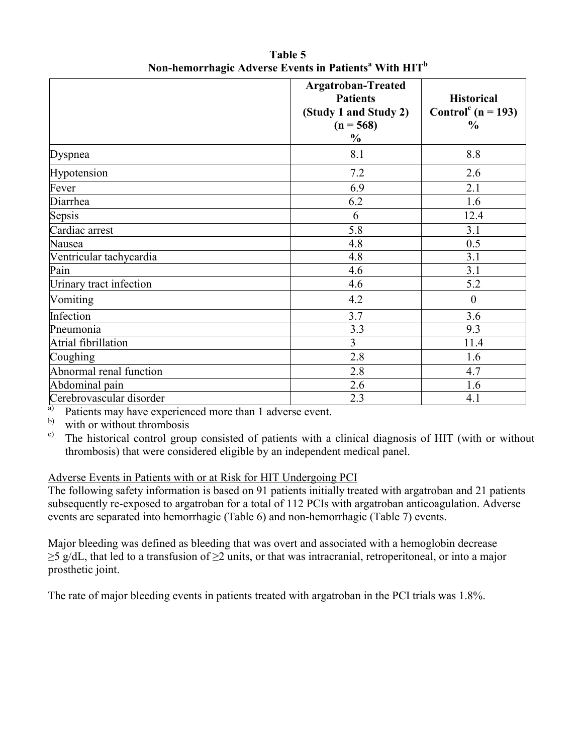|                          | <b>Argatroban-Treated</b><br><b>Patients</b><br>(Study 1 and Study 2)<br>$(n = 568)$<br>$\frac{0}{0}$ | <b>Historical</b><br>Control <sup>c</sup> (n = 193)<br>$\frac{0}{0}$ |
|--------------------------|-------------------------------------------------------------------------------------------------------|----------------------------------------------------------------------|
| Dyspnea                  | 8.1                                                                                                   | 8.8                                                                  |
| Hypotension              | 7.2                                                                                                   | 2.6                                                                  |
| Fever                    | 6.9                                                                                                   | 2.1                                                                  |
| Diarrhea                 | 6.2                                                                                                   | 1.6                                                                  |
| Sepsis                   | 6                                                                                                     | 12.4                                                                 |
| Cardiac arrest           | 5.8                                                                                                   | 3.1                                                                  |
| Nausea                   | 4.8                                                                                                   | 0.5                                                                  |
| Ventricular tachycardia  | 4.8                                                                                                   | 3.1                                                                  |
| Pain                     | 4.6                                                                                                   | 3.1                                                                  |
| Urinary tract infection  | 4.6                                                                                                   | 5.2                                                                  |
| Vomiting                 | 4.2                                                                                                   | $\boldsymbol{0}$                                                     |
| Infection                | 3.7                                                                                                   | 3.6                                                                  |
| Pneumonia                | 3.3                                                                                                   | 9.3                                                                  |
| Atrial fibrillation      | $\overline{3}$                                                                                        | 11.4                                                                 |
| Coughing                 | 2.8                                                                                                   | 1.6                                                                  |
| Abnormal renal function  | 2.8                                                                                                   | 4.7                                                                  |
| Abdominal pain           | 2.6                                                                                                   | 1.6                                                                  |
| Cerebrovascular disorder | 2.3                                                                                                   | 4.1                                                                  |

**Table 5 Non-hemorrhagic Adverse Events in Patients<sup>a</sup> With HIT<sup>b</sup>**

<sup>a)</sup> Patients may have experienced more than 1 adverse event.<br>b) with a without thrombosis

with or without thrombosis

c) The historical control group consisted of patients with a clinical diagnosis of HIT (with or without thrombosis) that were considered eligible by an independent medical panel.

## Adverse Events in Patients with or at Risk for HIT Undergoing PCI

The following safety information is based on 91 patients initially treated with argatroban and 21 patients subsequently re-exposed to argatroban for a total of 112 PCIs with argatroban anticoagulation. Adverse events are separated into hemorrhagic (Table 6) and non-hemorrhagic (Table 7) events.

Major bleeding was defined as bleeding that was overt and associated with a hemoglobin decrease ≥5 g/dL, that led to a transfusion of ≥2 units, or that was intracranial, retroperitoneal, or into a major prosthetic joint.

The rate of major bleeding events in patients treated with argatroban in the PCI trials was 1.8%.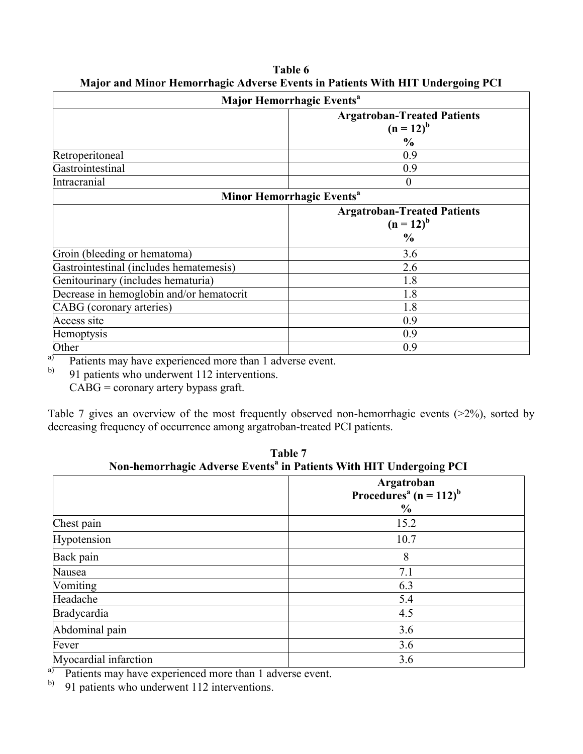|                                          | Major Hemorrhagic Events <sup>a</sup>                |  |  |  |
|------------------------------------------|------------------------------------------------------|--|--|--|
|                                          | <b>Argatroban-Treated Patients</b><br>$(n = 12)^{b}$ |  |  |  |
|                                          | $\frac{0}{0}$                                        |  |  |  |
| Retroperitoneal                          | 0.9                                                  |  |  |  |
| Gastrointestinal                         | 0.9                                                  |  |  |  |
| Intracranial                             | $\theta$                                             |  |  |  |
|                                          | Minor Hemorrhagic Events <sup>a</sup>                |  |  |  |
|                                          | <b>Argatroban-Treated Patients</b>                   |  |  |  |
|                                          | $(n = 12)^b$                                         |  |  |  |
|                                          | $\frac{6}{9}$                                        |  |  |  |
| Groin (bleeding or hematoma)             | 3.6                                                  |  |  |  |
| Gastrointestinal (includes hematemesis)  | 2.6                                                  |  |  |  |
| Genitourinary (includes hematuria)       | 1.8                                                  |  |  |  |
| Decrease in hemoglobin and/or hematocrit | 1.8                                                  |  |  |  |
| CABG (coronary arteries)                 | 1.8                                                  |  |  |  |
| Access site                              | 0.9                                                  |  |  |  |
| Hemoptysis                               | 0.9                                                  |  |  |  |
| Other                                    | 0.9                                                  |  |  |  |

**Table 6 Major and Minor Hemorrhagic Adverse Events in Patients With HIT Undergoing PCI**

 $\sigma$  Patients may have experienced more than 1 adverse event.

91 patients who underwent 112 interventions.

CABG = coronary artery bypass graft.

Table 7 gives an overview of the most frequently observed non-hemorrhagic events (>2%), sorted by decreasing frequency of occurrence among argatroban-treated PCI patients.

|                       | Non-nemorrhagic Adverse Events  in Patients with H11 Undergoing PC1           |  |  |  |
|-----------------------|-------------------------------------------------------------------------------|--|--|--|
|                       | Argatroban<br>Procedures <sup>a</sup> (n = 112) <sup>b</sup><br>$\frac{6}{9}$ |  |  |  |
| Chest pain            | 15.2                                                                          |  |  |  |
| Hypotension           | 10.7                                                                          |  |  |  |
| Back pain             | 8                                                                             |  |  |  |
| Nausea                | 7.1                                                                           |  |  |  |
| Vomiting              | 6.3                                                                           |  |  |  |
| Headache              | 5.4                                                                           |  |  |  |
| <b>Bradycardia</b>    | 4.5                                                                           |  |  |  |
| Abdominal pain        | 3.6                                                                           |  |  |  |
| Fever                 | 3.6                                                                           |  |  |  |
| Myocardial infarction | 3.6                                                                           |  |  |  |

Table 7<br>tr<sup>a</sup> in **D**eti **Non-hemorrhagic Adverse Events<sup>a</sup> in Patients With HIT Undergoing PCI**

 $\overrightarrow{a}$  Patients may have experienced more than 1 adverse event.<br>
b) 91 patients who underwent 112 interventions

91 patients who underwent 112 interventions.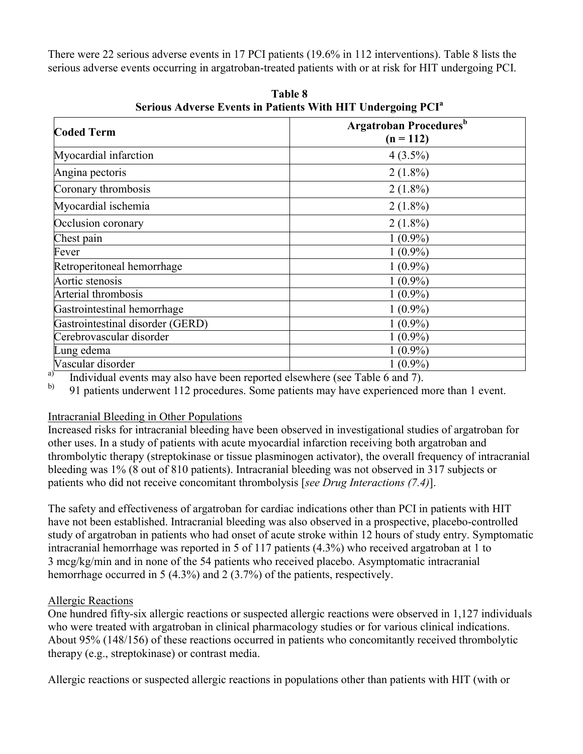There were 22 serious adverse events in 17 PCI patients (19.6% in 112 interventions). Table 8 lists the serious adverse events occurring in argatroban-treated patients with or at risk for HIT undergoing PCI.

| <b>Coded Term</b>                | <b>Argatroban Procedures</b> <sup>b</sup><br>$(n = 112)$ |
|----------------------------------|----------------------------------------------------------|
| Myocardial infarction            | $4(3.5\%)$                                               |
| Angina pectoris                  | $2(1.8\%)$                                               |
| Coronary thrombosis              | $2(1.8\%)$                                               |
| Myocardial ischemia              | $2(1.8\%)$                                               |
| Occlusion coronary               | $2(1.8\%)$                                               |
| Chest pain                       | $1(0.9\%)$                                               |
| Fever                            | $1(0.9\%)$                                               |
| Retroperitoneal hemorrhage       | $1(0.9\%)$                                               |
| Aortic stenosis                  | $1(0.9\%)$                                               |
| Arterial thrombosis              | $1(0.9\%)$                                               |
| Gastrointestinal hemorrhage      | $1(0.9\%)$                                               |
| Gastrointestinal disorder (GERD) | $1(0.9\%)$                                               |
| Cerebrovascular disorder         | $1(0.9\%)$                                               |
| Lung edema                       | $1(0.9\%)$                                               |
| Vascular disorder                | $1(0.9\%)$                                               |

**Table 8 Serious Adverse Events in Patients With HIT Undergoing PCI<sup>a</sup>**

a) Individual events may also have been reported elsewhere (see Table 6 and 7).

<sup>b)</sup> 91 patients underwent 112 procedures. Some patients may have experienced more than 1 event.

## Intracranial Bleeding in Other Populations

Increased risks for intracranial bleeding have been observed in investigational studies of argatroban for other uses. In a study of patients with acute myocardial infarction receiving both argatroban and thrombolytic therapy (streptokinase or tissue plasminogen activator), the overall frequency of intracranial bleeding was 1% (8 out of 810 patients). Intracranial bleeding was not observed in 317 subjects or patients who did not receive concomitant thrombolysis [*see Drug Interactions (7.4)*].

The safety and effectiveness of argatroban for cardiac indications other than PCI in patients with HIT have not been established. Intracranial bleeding was also observed in a prospective, placebo-controlled study of argatroban in patients who had onset of acute stroke within 12 hours of study entry. Symptomatic intracranial hemorrhage was reported in 5 of 117 patients (4.3%) who received argatroban at 1 to 3 mcg/kg/min and in none of the 54 patients who received placebo. Asymptomatic intracranial hemorrhage occurred in 5 (4.3%) and 2 (3.7%) of the patients, respectively.

# Allergic Reactions

One hundred fifty-six allergic reactions or suspected allergic reactions were observed in 1,127 individuals who were treated with argatroban in clinical pharmacology studies or for various clinical indications. About 95% (148/156) of these reactions occurred in patients who concomitantly received thrombolytic therapy (e.g., streptokinase) or contrast media.

Allergic reactions or suspected allergic reactions in populations other than patients with HIT (with or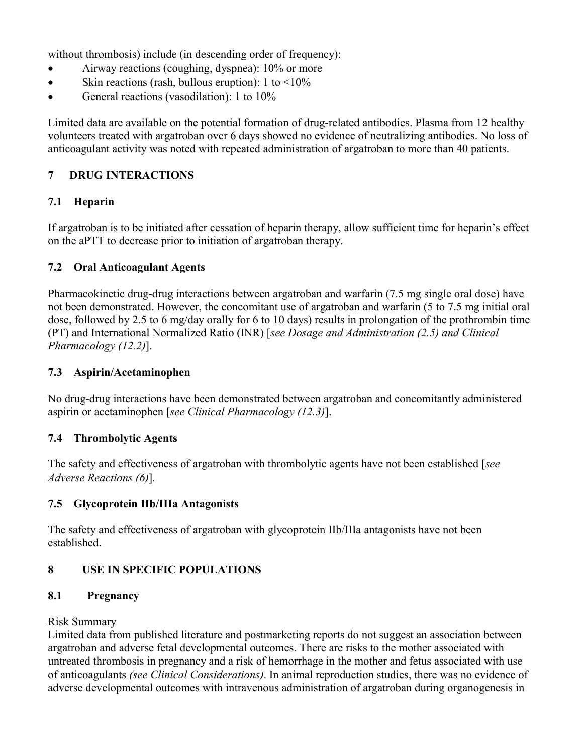without thrombosis) include (in descending order of frequency):

- Airway reactions (coughing, dyspnea): 10% or more
- Skin reactions (rash, bullous eruption):  $1 \text{ to } \leq 10\%$
- General reactions (vasodilation): 1 to 10%

Limited data are available on the potential formation of drug-related antibodies. Plasma from 12 healthy volunteers treated with argatroban over 6 days showed no evidence of neutralizing antibodies. No loss of anticoagulant activity was noted with repeated administration of argatroban to more than 40 patients.

# **7 DRUG INTERACTIONS**

## **7.1 Heparin**

If argatroban is to be initiated after cessation of heparin therapy, allow sufficient time for heparin's effect on the aPTT to decrease prior to initiation of argatroban therapy.

# **7.2 Oral Anticoagulant Agents**

Pharmacokinetic drug-drug interactions between argatroban and warfarin (7.5 mg single oral dose) have not been demonstrated. However, the concomitant use of argatroban and warfarin (5 to 7.5 mg initial oral dose, followed by 2.5 to 6 mg/day orally for 6 to 10 days) results in prolongation of the prothrombin time (PT) and International Normalized Ratio (INR) [*see Dosage and Administration (2.5) and Clinical Pharmacology (12.2)*].

# **7.3 Aspirin/Acetaminophen**

No drug-drug interactions have been demonstrated between argatroban and concomitantly administered aspirin or acetaminophen [*see Clinical Pharmacology (12.3)*].

## **7.4 Thrombolytic Agents**

The safety and effectiveness of argatroban with thrombolytic agents have not been established [*see Adverse Reactions (6)*]*.*

## **7.5 Glycoprotein IIb/IIIa Antagonists**

The safety and effectiveness of argatroban with glycoprotein IIb/IIIa antagonists have not been established.

# **8 USE IN SPECIFIC POPULATIONS**

## **8.1 Pregnancy**

## Risk Summary

Limited data from published literature and postmarketing reports do not suggest an association between argatroban and adverse fetal developmental outcomes. There are risks to the mother associated with untreated thrombosis in pregnancy and a risk of hemorrhage in the mother and fetus associated with use of anticoagulants *(see Clinical Considerations)*. In animal reproduction studies, there was no evidence of adverse developmental outcomes with intravenous administration of argatroban during organogenesis in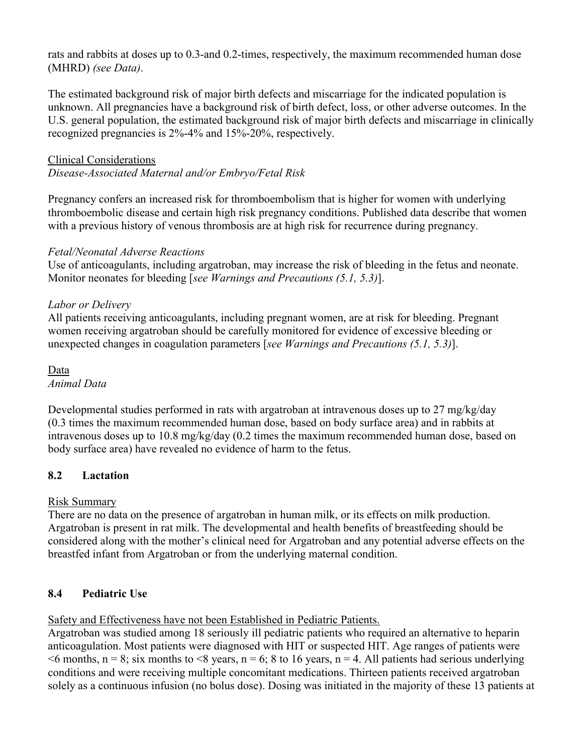rats and rabbits at doses up to 0.3-and 0.2-times, respectively, the maximum recommended human dose (MHRD) *(see Data)*.

The estimated background risk of major birth defects and miscarriage for the indicated population is unknown. All pregnancies have a background risk of birth defect, loss, or other adverse outcomes. In the U.S. general population, the estimated background risk of major birth defects and miscarriage in clinically recognized pregnancies is 2%-4% and 15%-20%, respectively.

## Clinical Considerations

*Disease-Associated Maternal and/or Embryo/Fetal Risk*

Pregnancy confers an increased risk for thromboembolism that is higher for women with underlying thromboembolic disease and certain high risk pregnancy conditions. Published data describe that women with a previous history of venous thrombosis are at high risk for recurrence during pregnancy.

# *Fetal/Neonatal Adverse Reactions*

Use of anticoagulants, including argatroban, may increase the risk of bleeding in the fetus and neonate. Monitor neonates for bleeding [*see Warnings and Precautions (5.1, 5.3)*].

# *Labor or Delivery*

All patients receiving anticoagulants, including pregnant women, are at risk for bleeding. Pregnant women receiving argatroban should be carefully monitored for evidence of excessive bleeding or unexpected changes in coagulation parameters [*see Warnings and Precautions (5.1, 5.3)*].

Data *Animal Data*

Developmental studies performed in rats with argatroban at intravenous doses up to 27 mg/kg/day (0.3 times the maximum recommended human dose, based on body surface area) and in rabbits at intravenous doses up to 10.8 mg/kg/day (0.2 times the maximum recommended human dose, based on body surface area) have revealed no evidence of harm to the fetus.

# **8.2 Lactation**

# Risk Summary

There are no data on the presence of argatroban in human milk, or its effects on milk production. Argatroban is present in rat milk. The developmental and health benefits of breastfeeding should be considered along with the mother's clinical need for Argatroban and any potential adverse effects on the breastfed infant from Argatroban or from the underlying maternal condition.

# **8.4 Pediatric Use**

Safety and Effectiveness have not been Established in Pediatric Patients.

Argatroban was studied among 18 seriously ill pediatric patients who required an alternative to heparin anticoagulation. Most patients were diagnosed with HIT or suspected HIT. Age ranges of patients were  $\leq$ 6 months, n = 8; six months to  $\leq$ 8 years, n = 6; 8 to 16 years, n = 4. All patients had serious underlying conditions and were receiving multiple concomitant medications. Thirteen patients received argatroban solely as a continuous infusion (no bolus dose). Dosing was initiated in the majority of these 13 patients at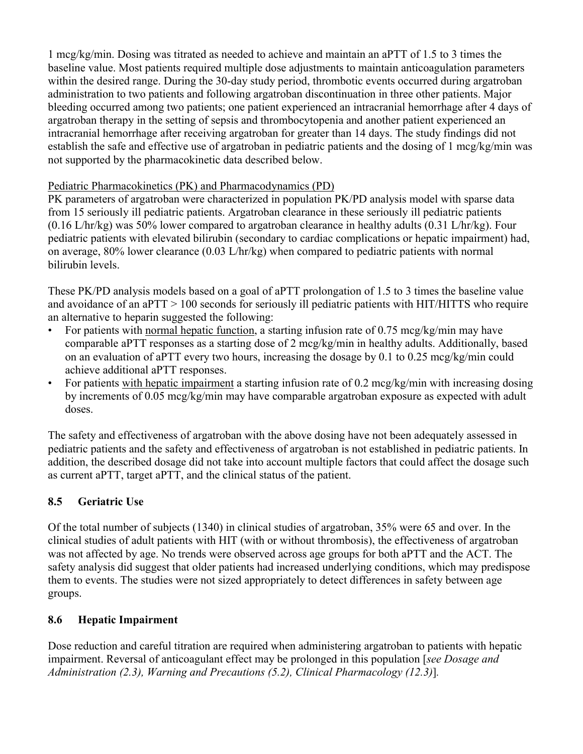1 mcg/kg/min. Dosing was titrated as needed to achieve and maintain an aPTT of 1.5 to 3 times the baseline value. Most patients required multiple dose adjustments to maintain anticoagulation parameters within the desired range. During the 30-day study period, thrombotic events occurred during argatroban administration to two patients and following argatroban discontinuation in three other patients. Major bleeding occurred among two patients; one patient experienced an intracranial hemorrhage after 4 days of argatroban therapy in the setting of sepsis and thrombocytopenia and another patient experienced an intracranial hemorrhage after receiving argatroban for greater than 14 days. The study findings did not establish the safe and effective use of argatroban in pediatric patients and the dosing of 1 mcg/kg/min was not supported by the pharmacokinetic data described below.

# Pediatric Pharmacokinetics (PK) and Pharmacodynamics (PD)

PK parameters of argatroban were characterized in population PK/PD analysis model with sparse data from 15 seriously ill pediatric patients. Argatroban clearance in these seriously ill pediatric patients (0.16 L/hr/kg) was 50% lower compared to argatroban clearance in healthy adults (0.31 L/hr/kg). Four pediatric patients with elevated bilirubin (secondary to cardiac complications or hepatic impairment) had, on average, 80% lower clearance (0.03 L/hr/kg) when compared to pediatric patients with normal bilirubin levels.

These PK/PD analysis models based on a goal of aPTT prolongation of 1.5 to 3 times the baseline value and avoidance of an aPTT > 100 seconds for seriously ill pediatric patients with HIT/HITTS who require an alternative to heparin suggested the following:

- For patients with normal hepatic function, a starting infusion rate of 0.75 mcg/kg/min may have comparable aPTT responses as a starting dose of 2 mcg/kg/min in healthy adults. Additionally, based on an evaluation of aPTT every two hours, increasing the dosage by 0.1 to 0.25 mcg/kg/min could achieve additional aPTT responses.
- For patients with hepatic impairment a starting infusion rate of 0.2 mcg/kg/min with increasing dosing by increments of 0.05 mcg/kg/min may have comparable argatroban exposure as expected with adult doses.

The safety and effectiveness of argatroban with the above dosing have not been adequately assessed in pediatric patients and the safety and effectiveness of argatroban is not established in pediatric patients. In addition, the described dosage did not take into account multiple factors that could affect the dosage such as current aPTT, target aPTT, and the clinical status of the patient.

# **8.5 Geriatric Use**

Of the total number of subjects (1340) in clinical studies of argatroban, 35% were 65 and over. In the clinical studies of adult patients with HIT (with or without thrombosis), the effectiveness of argatroban was not affected by age. No trends were observed across age groups for both aPTT and the ACT. The safety analysis did suggest that older patients had increased underlying conditions, which may predispose them to events. The studies were not sized appropriately to detect differences in safety between age groups.

# **8.6 Hepatic Impairment**

Dose reduction and careful titration are required when administering argatroban to patients with hepatic impairment. Reversal of anticoagulant effect may be prolonged in this population [*see Dosage and Administration (2.3), Warning and Precautions (5.2), Clinical Pharmacology (12.3)*]*.*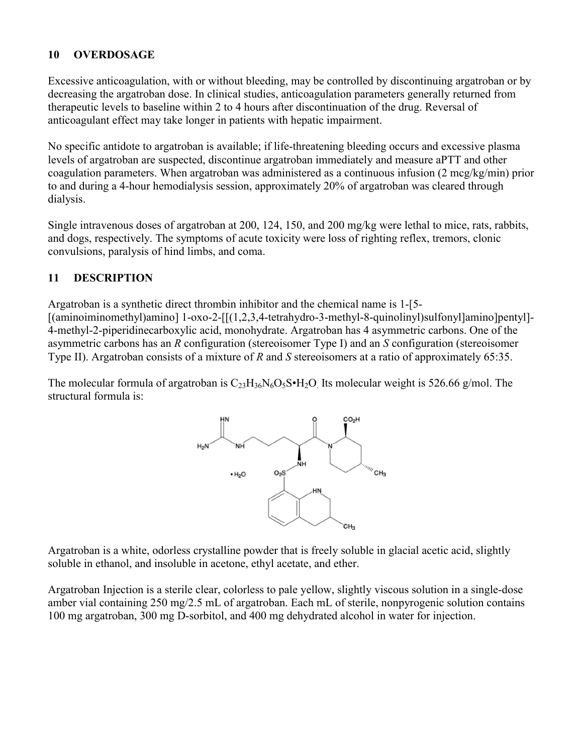## **10 OVERDOSAGE**

Excessive anticoagulation, with or without bleeding, may be controlled by discontinuing argatroban or by decreasing the argatroban dose. In clinical studies, anticoagulation parameters generally returned from therapeutic levels to baseline within 2 to 4 hours after discontinuation of the drug. Reversal of anticoagulant effect may take longer in patients with hepatic impairment.

No specific antidote to argatroban is available; if life-threatening bleeding occurs and excessive plasma levels of argatroban are suspected, discontinue argatroban immediately and measure aPTT and other coagulation parameters. When argatroban was administered as a continuous infusion (2 mcg/kg/min) prior to and during a 4-hour hemodialysis session, approximately 20% of argatroban was cleared through dialysis.

Single intravenous doses of argatroban at 200, 124, 150, and 200 mg/kg were lethal to mice, rats, rabbits, and dogs, respectively. The symptoms of acute toxicity were loss of righting reflex, tremors, clonic convulsions, paralysis of hind limbs, and coma.

## **11 DESCRIPTION**

Argatroban is a synthetic direct thrombin inhibitor and the chemical name is 1-[5- [(aminoiminomethyl)amino] 1-oxo-2-[[(1,2,3,4-tetrahydro-3-methyl-8-quinolinyl)sulfonyl]amino]pentyl]-4-methyl-2-piperidinecarboxylic acid, monohydrate. Argatroban has 4 asymmetric carbons. One of the asymmetric carbons has an *R* configuration (stereoisomer Type I) and an *S* configuration (stereoisomer Type II). Argatroban consists of a mixture of *R* and *S* stereoisomers at a ratio of approximately 65:35.

The molecular formula of argatroban is  $C_{23}H_{36}N_6O_5S\cdot H_2O$ . Its molecular weight is 526.66 g/mol. The structural formula is:



Argatroban is a white, odorless crystalline powder that is freely soluble in glacial acetic acid, slightly soluble in ethanol, and insoluble in acetone, ethyl acetate, and ether.

Argatroban Injection is a sterile clear, colorless to pale yellow, slightly viscous solution in a single-dose amber vial containing 250 mg/2.5 mL of argatroban. Each mL of sterile, nonpyrogenic solution contains 100 mg argatroban, 300 mg D-sorbitol, and 400 mg dehydrated alcohol in water for injection.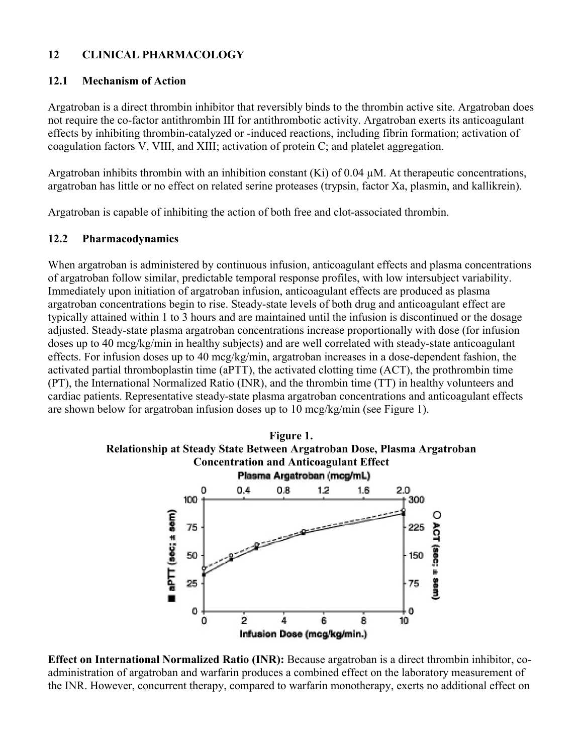## **12 CLINICAL PHARMACOLOGY**

#### **12.1 Mechanism of Action**

Argatroban is a direct thrombin inhibitor that reversibly binds to the thrombin active site. Argatroban does not require the co-factor antithrombin III for antithrombotic activity. Argatroban exerts its anticoagulant effects by inhibiting thrombin-catalyzed or -induced reactions, including fibrin formation; activation of coagulation factors V, VIII, and XIII; activation of protein C; and platelet aggregation.

Argatroban inhibits thrombin with an inhibition constant  $(Ki)$  of 0.04  $\mu$ M. At therapeutic concentrations, argatroban has little or no effect on related serine proteases (trypsin, factor Xa, plasmin, and kallikrein).

Argatroban is capable of inhibiting the action of both free and clot-associated thrombin.

## **12.2 Pharmacodynamics**

When argatroban is administered by continuous infusion, anticoagulant effects and plasma concentrations of argatroban follow similar, predictable temporal response profiles, with low intersubject variability. Immediately upon initiation of argatroban infusion, anticoagulant effects are produced as plasma argatroban concentrations begin to rise. Steady-state levels of both drug and anticoagulant effect are typically attained within 1 to 3 hours and are maintained until the infusion is discontinued or the dosage adjusted. Steady-state plasma argatroban concentrations increase proportionally with dose (for infusion doses up to 40 mcg/kg/min in healthy subjects) and are well correlated with steady-state anticoagulant effects. For infusion doses up to 40 mcg/kg/min, argatroban increases in a dose-dependent fashion, the activated partial thromboplastin time (aPTT), the activated clotting time (ACT), the prothrombin time (PT), the International Normalized Ratio (INR), and the thrombin time (TT) in healthy volunteers and cardiac patients. Representative steady-state plasma argatroban concentrations and anticoagulant effects are shown below for argatroban infusion doses up to 10 mcg/kg/min (see Figure 1).



**Effect on International Normalized Ratio (INR):** Because argatroban is a direct thrombin inhibitor, coadministration of argatroban and warfarin produces a combined effect on the laboratory measurement of the INR. However, concurrent therapy, compared to warfarin monotherapy, exerts no additional effect on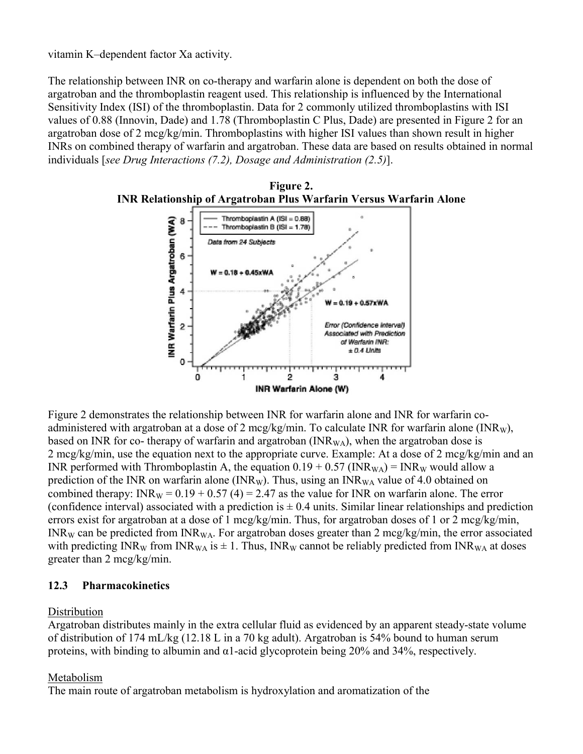vitamin K–dependent factor Xa activity.

The relationship between INR on co-therapy and warfarin alone is dependent on both the dose of argatroban and the thromboplastin reagent used. This relationship is influenced by the International Sensitivity Index (ISI) of the thromboplastin. Data for 2 commonly utilized thromboplastins with ISI values of 0.88 (Innovin, Dade) and 1.78 (Thromboplastin C Plus, Dade) are presented in Figure 2 for an argatroban dose of 2 mcg/kg/min. Thromboplastins with higher ISI values than shown result in higher INRs on combined therapy of warfarin and argatroban. These data are based on results obtained in normal individuals [*see Drug Interactions (7.2), Dosage and Administration (2.5)*].



Figure 2 demonstrates the relationship between INR for warfarin alone and INR for warfarin coadministered with argatroban at a dose of 2 mcg/kg/min. To calculate INR for warfarin alone (INR<sub>W</sub>), based on INR for co- therapy of warfarin and argatroban (INR<sub>WA</sub>), when the argatroban dose is 2 mcg/kg/min, use the equation next to the appropriate curve. Example: At a dose of 2 mcg/kg/min and an INR performed with Thromboplastin A, the equation  $0.19 + 0.57$  (INR<sub>WA</sub>) = INR<sub>W</sub> would allow a prediction of the INR on warfarin alone (INR<sub>W</sub>). Thus, using an INR<sub>WA</sub> value of 4.0 obtained on combined therapy:  $INR_W = 0.19 + 0.57 (4) = 2.47$  as the value for INR on warfarin alone. The error (confidence interval) associated with a prediction is  $\pm$  0.4 units. Similar linear relationships and prediction errors exist for argatroban at a dose of 1 mcg/kg/min. Thus, for argatroban doses of 1 or 2 mcg/kg/min,  $INR_W$  can be predicted from  $INR_{WA}$ . For argatroban doses greater than 2 mcg/kg/min, the error associated with predicting INR<sub>W</sub> from INR<sub>WA</sub> is  $\pm$  1. Thus, INR<sub>W</sub> cannot be reliably predicted from INR<sub>WA</sub> at doses greater than 2 mcg/kg/min.

## **12.3 Pharmacokinetics**

## **Distribution**

Argatroban distributes mainly in the extra cellular fluid as evidenced by an apparent steady-state volume of distribution of 174 mL/kg (12.18 L in a 70 kg adult). Argatroban is 54% bound to human serum proteins, with binding to albumin and  $\alpha$ 1-acid glycoprotein being 20% and 34%, respectively.

## Metabolism

The main route of argatroban metabolism is hydroxylation and aromatization of the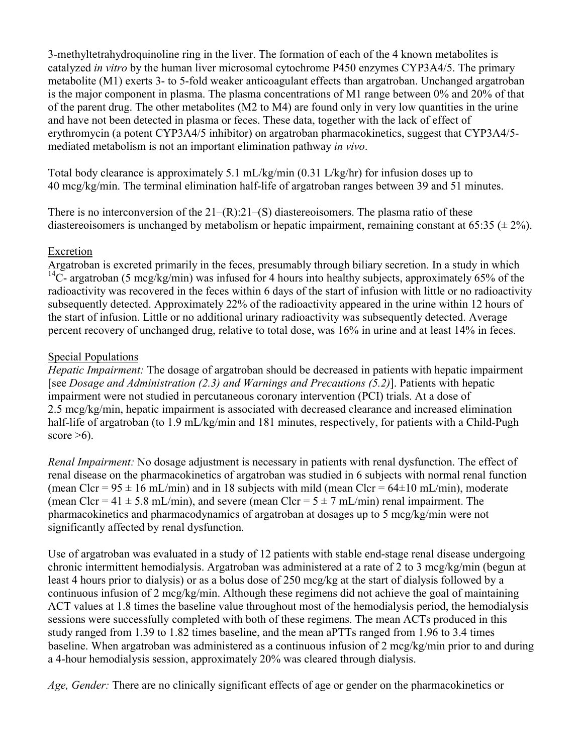3-methyltetrahydroquinoline ring in the liver. The formation of each of the 4 known metabolites is catalyzed *in vitro* by the human liver microsomal cytochrome P450 enzymes CYP3A4/5. The primary metabolite (M1) exerts 3- to 5-fold weaker anticoagulant effects than argatroban. Unchanged argatroban is the major component in plasma. The plasma concentrations of M1 range between 0% and 20% of that of the parent drug. The other metabolites (M2 to M4) are found only in very low quantities in the urine and have not been detected in plasma or feces. These data, together with the lack of effect of erythromycin (a potent CYP3A4/5 inhibitor) on argatroban pharmacokinetics, suggest that CYP3A4/5 mediated metabolism is not an important elimination pathway *in vivo*.

Total body clearance is approximately 5.1 mL/kg/min (0.31 L/kg/hr) for infusion doses up to 40 mcg/kg/min. The terminal elimination half-life of argatroban ranges between 39 and 51 minutes.

There is no interconversion of the  $21-(R)$ : $21-(S)$  diastereoisomers. The plasma ratio of these diastereoisomers is unchanged by metabolism or hepatic impairment, remaining constant at 65:35 ( $\pm$  2%).

# Excretion

Argatroban is excreted primarily in the feces, presumably through biliary secretion. In a study in which  $14$ C- argatroban (5 mcg/kg/min) was infused for 4 hours into healthy subjects, approximately 65% of the radioactivity was recovered in the feces within 6 days of the start of infusion with little or no radioactivity subsequently detected. Approximately 22% of the radioactivity appeared in the urine within 12 hours of the start of infusion. Little or no additional urinary radioactivity was subsequently detected. Average percent recovery of unchanged drug, relative to total dose, was 16% in urine and at least 14% in feces.

# Special Populations

*Hepatic Impairment:* The dosage of argatroban should be decreased in patients with hepatic impairment [see *Dosage and Administration (2.3) and Warnings and Precautions (5.2)*]. Patients with hepatic impairment were not studied in percutaneous coronary intervention (PCI) trials. At a dose of 2.5 mcg/kg/min, hepatic impairment is associated with decreased clearance and increased elimination half-life of argatroban (to 1.9 mL/kg/min and 181 minutes, respectively, for patients with a Child-Pugh score  $>6$ ).

*Renal Impairment:* No dosage adjustment is necessary in patients with renal dysfunction. The effect of renal disease on the pharmacokinetics of argatroban was studied in 6 subjects with normal renal function (mean Clcr =  $95 \pm 16$  mL/min) and in 18 subjects with mild (mean Clcr =  $64\pm 10$  mL/min), moderate (mean Clcr = 41  $\pm$  5.8 mL/min), and severe (mean Clcr = 5  $\pm$  7 mL/min) renal impairment. The pharmacokinetics and pharmacodynamics of argatroban at dosages up to 5 mcg/kg/min were not significantly affected by renal dysfunction.

Use of argatroban was evaluated in a study of 12 patients with stable end-stage renal disease undergoing chronic intermittent hemodialysis. Argatroban was administered at a rate of 2 to 3 mcg/kg/min (begun at least 4 hours prior to dialysis) or as a bolus dose of 250 mcg/kg at the start of dialysis followed by a continuous infusion of 2 mcg/kg/min. Although these regimens did not achieve the goal of maintaining ACT values at 1.8 times the baseline value throughout most of the hemodialysis period, the hemodialysis sessions were successfully completed with both of these regimens. The mean ACTs produced in this study ranged from 1.39 to 1.82 times baseline, and the mean aPTTs ranged from 1.96 to 3.4 times baseline. When argatroban was administered as a continuous infusion of 2 mcg/kg/min prior to and during a 4-hour hemodialysis session, approximately 20% was cleared through dialysis.

*Age, Gender:* There are no clinically significant effects of age or gender on the pharmacokinetics or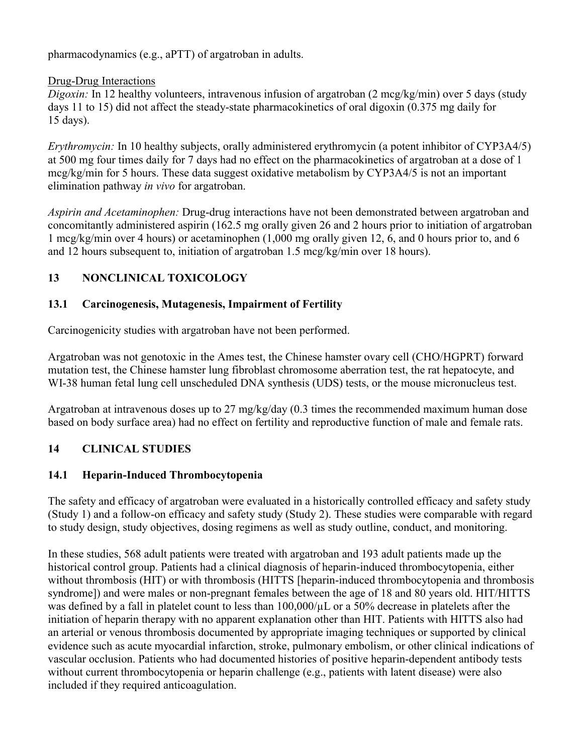pharmacodynamics (e.g., aPTT) of argatroban in adults.

# Drug-Drug Interactions

*Digoxin:* In 12 healthy volunteers, intravenous infusion of argatroban (2 mcg/kg/min) over 5 days (study days 11 to 15) did not affect the steady-state pharmacokinetics of oral digoxin (0.375 mg daily for 15 days).

*Erythromycin:* In 10 healthy subjects, orally administered erythromycin (a potent inhibitor of CYP3A4/5) at 500 mg four times daily for 7 days had no effect on the pharmacokinetics of argatroban at a dose of 1 mcg/kg/min for 5 hours. These data suggest oxidative metabolism by CYP3A4/5 is not an important elimination pathway *in vivo* for argatroban.

*Aspirin and Acetaminophen:* Drug-drug interactions have not been demonstrated between argatroban and concomitantly administered aspirin (162.5 mg orally given 26 and 2 hours prior to initiation of argatroban 1 mcg/kg/min over 4 hours) or acetaminophen (1,000 mg orally given 12, 6, and 0 hours prior to, and 6 and 12 hours subsequent to, initiation of argatroban 1.5 mcg/kg/min over 18 hours).

# **13 NONCLINICAL TOXICOLOGY**

# **13.1 Carcinogenesis, Mutagenesis, Impairment of Fertility**

Carcinogenicity studies with argatroban have not been performed.

Argatroban was not genotoxic in the Ames test, the Chinese hamster ovary cell (CHO/HGPRT) forward mutation test, the Chinese hamster lung fibroblast chromosome aberration test, the rat hepatocyte, and WI-38 human fetal lung cell unscheduled DNA synthesis (UDS) tests, or the mouse micronucleus test.

Argatroban at intravenous doses up to 27 mg/kg/day (0.3 times the recommended maximum human dose based on body surface area) had no effect on fertility and reproductive function of male and female rats.

# **14 CLINICAL STUDIES**

# **14.1 Heparin-Induced Thrombocytopenia**

The safety and efficacy of argatroban were evaluated in a historically controlled efficacy and safety study (Study 1) and a follow-on efficacy and safety study (Study 2). These studies were comparable with regard to study design, study objectives, dosing regimens as well as study outline, conduct, and monitoring.

In these studies, 568 adult patients were treated with argatroban and 193 adult patients made up the historical control group. Patients had a clinical diagnosis of heparin-induced thrombocytopenia, either without thrombosis (HIT) or with thrombosis (HITTS [heparin-induced thrombocytopenia and thrombosis syndrome]) and were males or non-pregnant females between the age of 18 and 80 years old. HIT/HITTS was defined by a fall in platelet count to less than  $100,000/\mu$ L or a 50% decrease in platelets after the initiation of heparin therapy with no apparent explanation other than HIT. Patients with HITTS also had an arterial or venous thrombosis documented by appropriate imaging techniques or supported by clinical evidence such as acute myocardial infarction, stroke, pulmonary embolism, or other clinical indications of vascular occlusion. Patients who had documented histories of positive heparin-dependent antibody tests without current thrombocytopenia or heparin challenge (e.g., patients with latent disease) were also included if they required anticoagulation.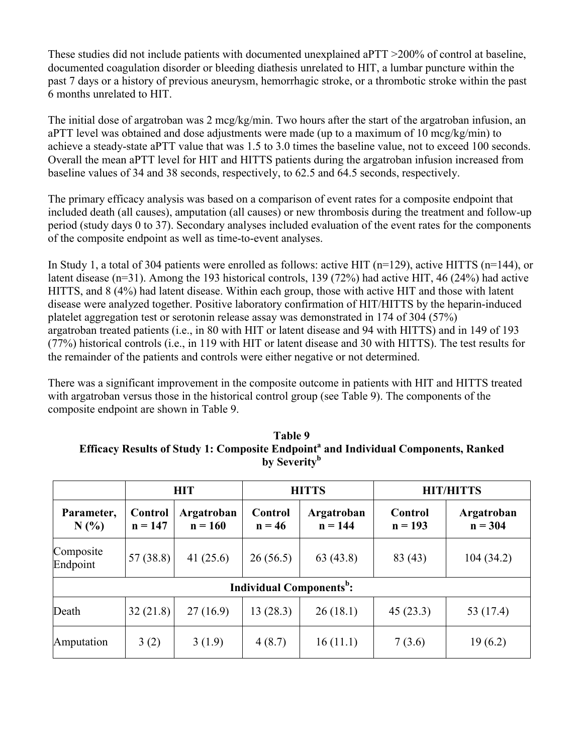These studies did not include patients with documented unexplained aPTT >200% of control at baseline, documented coagulation disorder or bleeding diathesis unrelated to HIT, a lumbar puncture within the past 7 days or a history of previous aneurysm, hemorrhagic stroke, or a thrombotic stroke within the past 6 months unrelated to HIT.

The initial dose of argatroban was 2 mcg/kg/min. Two hours after the start of the argatroban infusion, an aPTT level was obtained and dose adjustments were made (up to a maximum of 10 mcg/kg/min) to achieve a steady-state aPTT value that was 1.5 to 3.0 times the baseline value, not to exceed 100 seconds. Overall the mean aPTT level for HIT and HITTS patients during the argatroban infusion increased from baseline values of 34 and 38 seconds, respectively, to 62.5 and 64.5 seconds, respectively.

The primary efficacy analysis was based on a comparison of event rates for a composite endpoint that included death (all causes), amputation (all causes) or new thrombosis during the treatment and follow-up period (study days 0 to 37). Secondary analyses included evaluation of the event rates for the components of the composite endpoint as well as time-to-event analyses.

In Study 1, a total of 304 patients were enrolled as follows: active HIT ( $n=129$ ), active HITTS ( $n=144$ ), or latent disease (n=31). Among the 193 historical controls, 139 (72%) had active HIT, 46 (24%) had active HITTS, and 8 (4%) had latent disease. Within each group, those with active HIT and those with latent disease were analyzed together. Positive laboratory confirmation of HIT/HITTS by the heparin-induced platelet aggregation test or serotonin release assay was demonstrated in 174 of 304 (57%) argatroban treated patients (i.e., in 80 with HIT or latent disease and 94 with HITTS) and in 149 of 193 (77%) historical controls (i.e., in 119 with HIT or latent disease and 30 with HITTS). The test results for the remainder of the patients and controls were either negative or not determined.

There was a significant improvement in the composite outcome in patients with HIT and HITTS treated with argatroban versus those in the historical control group (see Table 9). The components of the composite endpoint are shown in Table 9.

|  | by Severity <sup>b</sup> | Efficacy Results of Study 1: Composite Endpoint <sup>ª</sup> and Individual Components, Ranked |
|--|--------------------------|------------------------------------------------------------------------------------------------|
|  |                          |                                                                                                |

**Table 9**

|                       | <b>HIT</b>                  |                         | <b>HITTS</b>                                |                         | <b>HIT/HITTS</b>            |                         |
|-----------------------|-----------------------------|-------------------------|---------------------------------------------|-------------------------|-----------------------------|-------------------------|
| Parameter,<br>N(%     | <b>Control</b><br>$n = 147$ | Argatroban<br>$n = 160$ | <b>Control</b><br>$n = 46$                  | Argatroban<br>$n = 144$ | <b>Control</b><br>$n = 193$ | Argatroban<br>$n = 304$ |
| Composite<br>Endpoint | 57(38.8)                    | 41 $(25.6)$             | 26(56.5)                                    | 63(43.8)                | 83 (43)                     | 104(34.2)               |
|                       |                             |                         | <b>Individual Components</b> <sup>b</sup> : |                         |                             |                         |
| Death                 | 32(21.8)                    | 27(16.9)                | 13(28.3)                                    | 26(18.1)                | 45(23.3)                    | 53 (17.4)               |
| Amputation            | 3(2)                        | 3(1.9)                  | 4(8.7)                                      | 16(11.1)                | 7(3.6)                      | 19(6.2)                 |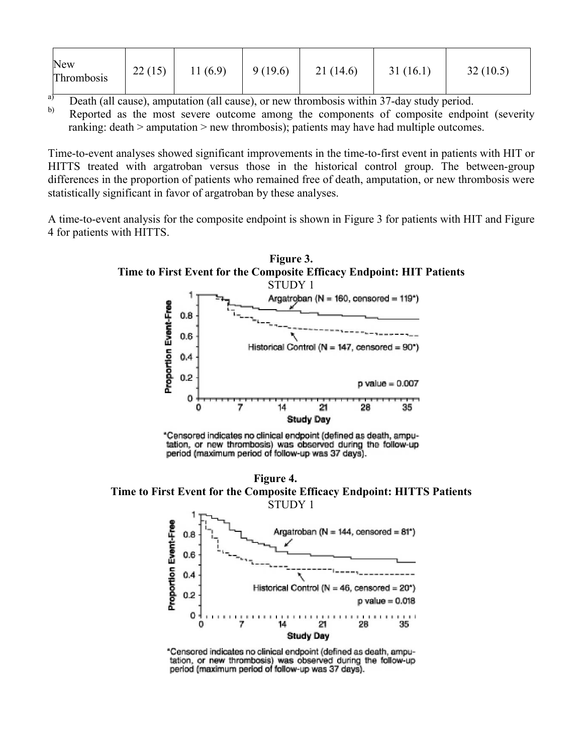| New<br>Thrombosis | 22(15)<br>11(6.9) | 9(19.6) | 21(14.6) | 31(16.1) | 32(10.5) |
|-------------------|-------------------|---------|----------|----------|----------|
|-------------------|-------------------|---------|----------|----------|----------|

 $\overrightarrow{a}$  Death (all cause), amputation (all cause), or new thrombosis within 37-day study period.

Reported as the most severe outcome among the components of composite endpoint (severity ranking: death > amputation > new thrombosis); patients may have had multiple outcomes.

Time-to-event analyses showed significant improvements in the time-to-first event in patients with HIT or HITTS treated with argatroban versus those in the historical control group. The between-group differences in the proportion of patients who remained free of death, amputation, or new thrombosis were statistically significant in favor of argatroban by these analyses.

A time-to-event analysis for the composite endpoint is shown in Figure 3 for patients with HIT and Figure 4 for patients with HITTS.



\*Censored indicates no clinical endpoint (defined as death, amputation, or new thrombosis) was observed during the follow-up period (maximum period of follow-up was 37 days).

**Figure 4. Time to First Event for the Composite Efficacy Endpoint: HITTS Patients** STUDY 1



\*Censored indicates no clinical endpoint (defined as death, amputation, or new thrombosis) was observed during the follow-up period (maximum period of follow-up was 37 days).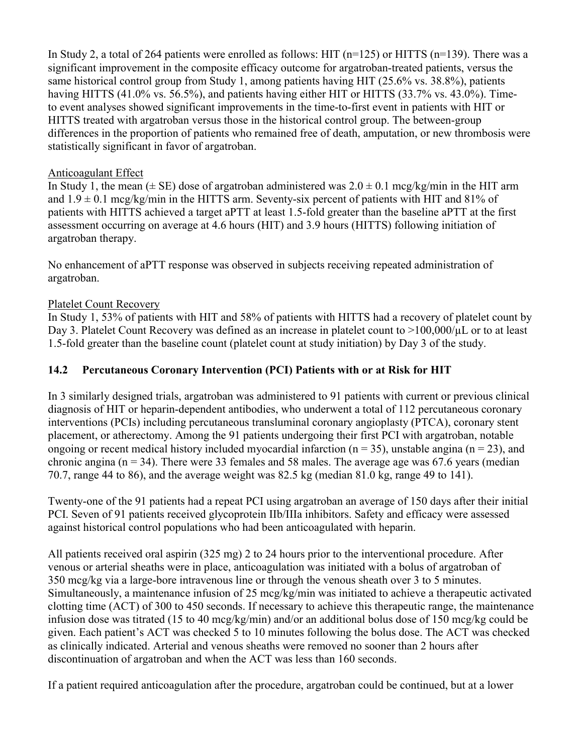In Study 2, a total of 264 patients were enrolled as follows: HIT ( $n=125$ ) or HITTS ( $n=139$ ). There was a significant improvement in the composite efficacy outcome for argatroban-treated patients, versus the same historical control group from Study 1, among patients having HIT (25.6% vs. 38.8%), patients having HITTS (41.0% vs. 56.5%), and patients having either HIT or HITTS (33.7% vs. 43.0%). Timeto event analyses showed significant improvements in the time-to-first event in patients with HIT or HITTS treated with argatroban versus those in the historical control group. The between-group differences in the proportion of patients who remained free of death, amputation, or new thrombosis were statistically significant in favor of argatroban.

# Anticoagulant Effect

In Study 1, the mean ( $\pm$  SE) dose of argatroban administered was  $2.0 \pm 0.1$  mcg/kg/min in the HIT arm and  $1.9 \pm 0.1$  mcg/kg/min in the HITTS arm. Seventy-six percent of patients with HIT and 81% of patients with HITTS achieved a target aPTT at least 1.5-fold greater than the baseline aPTT at the first assessment occurring on average at 4.6 hours (HIT) and 3.9 hours (HITTS) following initiation of argatroban therapy.

No enhancement of aPTT response was observed in subjects receiving repeated administration of argatroban.

# Platelet Count Recovery

In Study 1, 53% of patients with HIT and 58% of patients with HITTS had a recovery of platelet count by Day 3. Platelet Count Recovery was defined as an increase in platelet count to >100,000/µL or to at least 1.5-fold greater than the baseline count (platelet count at study initiation) by Day 3 of the study.

# **14.2 Percutaneous Coronary Intervention (PCI) Patients with or at Risk for HIT**

In 3 similarly designed trials, argatroban was administered to 91 patients with current or previous clinical diagnosis of HIT or heparin-dependent antibodies, who underwent a total of 112 percutaneous coronary interventions (PCIs) including percutaneous transluminal coronary angioplasty (PTCA), coronary stent placement, or atherectomy. Among the 91 patients undergoing their first PCI with argatroban, notable ongoing or recent medical history included myocardial infarction ( $n = 35$ ), unstable angina ( $n = 23$ ), and chronic angina ( $n = 34$ ). There were 33 females and 58 males. The average age was 67.6 years (median 70.7, range 44 to 86), and the average weight was 82.5 kg (median 81.0 kg, range 49 to 141).

Twenty-one of the 91 patients had a repeat PCI using argatroban an average of 150 days after their initial PCI. Seven of 91 patients received glycoprotein IIb/IIIa inhibitors. Safety and efficacy were assessed against historical control populations who had been anticoagulated with heparin.

All patients received oral aspirin (325 mg) 2 to 24 hours prior to the interventional procedure. After venous or arterial sheaths were in place, anticoagulation was initiated with a bolus of argatroban of 350 mcg/kg via a large-bore intravenous line or through the venous sheath over 3 to 5 minutes. Simultaneously, a maintenance infusion of 25 mcg/kg/min was initiated to achieve a therapeutic activated clotting time (ACT) of 300 to 450 seconds. If necessary to achieve this therapeutic range, the maintenance infusion dose was titrated (15 to 40 mcg/kg/min) and/or an additional bolus dose of 150 mcg/kg could be given. Each patient's ACT was checked 5 to 10 minutes following the bolus dose. The ACT was checked as clinically indicated. Arterial and venous sheaths were removed no sooner than 2 hours after discontinuation of argatroban and when the ACT was less than 160 seconds.

If a patient required anticoagulation after the procedure, argatroban could be continued, but at a lower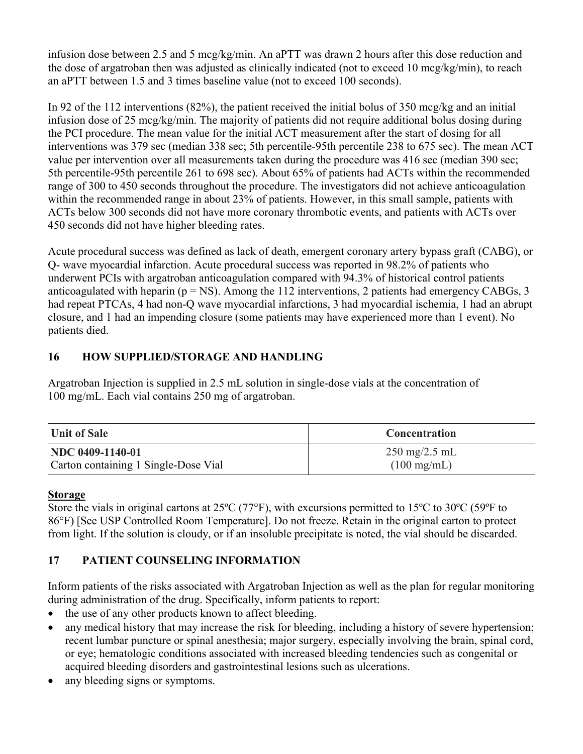infusion dose between 2.5 and 5 mcg/kg/min. An aPTT was drawn 2 hours after this dose reduction and the dose of argatroban then was adjusted as clinically indicated (not to exceed 10 mcg/kg/min), to reach an aPTT between 1.5 and 3 times baseline value (not to exceed 100 seconds).

In 92 of the 112 interventions (82%), the patient received the initial bolus of 350 mcg/kg and an initial infusion dose of 25 mcg/kg/min. The majority of patients did not require additional bolus dosing during the PCI procedure. The mean value for the initial ACT measurement after the start of dosing for all interventions was 379 sec (median 338 sec; 5th percentile-95th percentile 238 to 675 sec). The mean ACT value per intervention over all measurements taken during the procedure was 416 sec (median 390 sec; 5th percentile-95th percentile 261 to 698 sec). About 65% of patients had ACTs within the recommended range of 300 to 450 seconds throughout the procedure. The investigators did not achieve anticoagulation within the recommended range in about 23% of patients. However, in this small sample, patients with ACTs below 300 seconds did not have more coronary thrombotic events, and patients with ACTs over 450 seconds did not have higher bleeding rates.

Acute procedural success was defined as lack of death, emergent coronary artery bypass graft (CABG), or Q- wave myocardial infarction. Acute procedural success was reported in 98.2% of patients who underwent PCIs with argatroban anticoagulation compared with 94.3% of historical control patients anticoagulated with heparin ( $p = NS$ ). Among the 112 interventions, 2 patients had emergency CABGs, 3 had repeat PTCAs, 4 had non-Q wave myocardial infarctions, 3 had myocardial ischemia, 1 had an abrupt closure, and 1 had an impending closure (some patients may have experienced more than 1 event). No patients died.

# **16 HOW SUPPLIED/STORAGE AND HANDLING**

Argatroban Injection is supplied in 2.5 mL solution in single-dose vials at the concentration of 100 mg/mL. Each vial contains 250 mg of argatroban.

| Unit of Sale                         | <b>Concentration</b>            |  |
|--------------------------------------|---------------------------------|--|
| <b>NDC</b> 0409-1140-01              | $250 \text{ mg}/2.5 \text{ mL}$ |  |
| Carton containing 1 Single-Dose Vial | $(100 \text{ mg/mL})$           |  |

## **Storage**

Store the vials in original cartons at  $25^{\circ}C$  (77 $^{\circ}F$ ), with excursions permitted to 15 $^{\circ}C$  to 30 $^{\circ}C$  (59 $^{\circ}F$  to 86°F) [See USP Controlled Room Temperature]. Do not freeze. Retain in the original carton to protect from light. If the solution is cloudy, or if an insoluble precipitate is noted, the vial should be discarded.

# **17 PATIENT COUNSELING INFORMATION**

Inform patients of the risks associated with Argatroban Injection as well as the plan for regular monitoring during administration of the drug. Specifically, inform patients to report:

- the use of any other products known to affect bleeding.
- any medical history that may increase the risk for bleeding, including a history of severe hypertension; recent lumbar puncture or spinal anesthesia; major surgery, especially involving the brain, spinal cord, or eye; hematologic conditions associated with increased bleeding tendencies such as congenital or acquired bleeding disorders and gastrointestinal lesions such as ulcerations.
- any bleeding signs or symptoms.